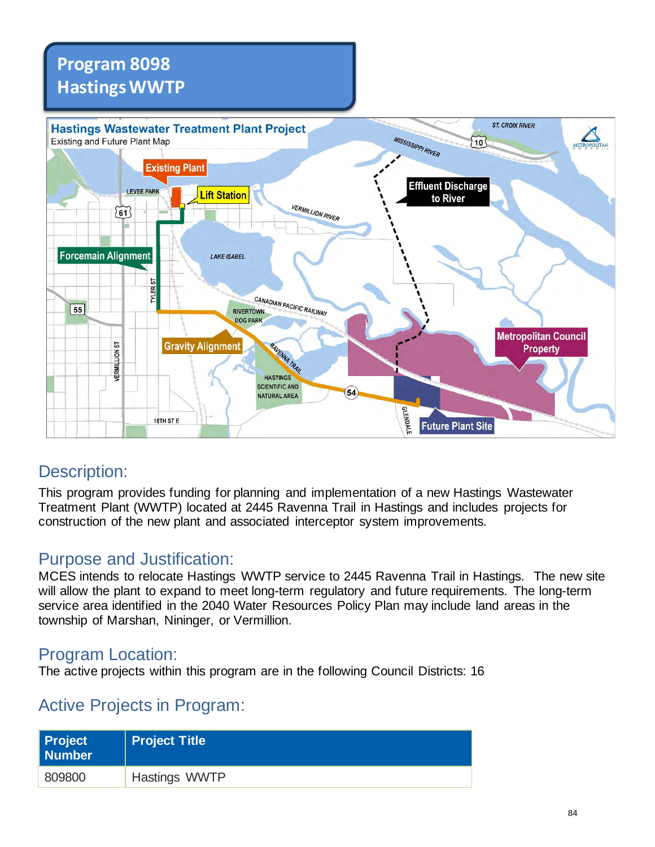## **Program 8098 Hastings WWTP**



## Description:

This program provides funding for planning and implementation of a new Hastings Wastewater Treatment Plant (WWTP) located at 2445 Ravenna Trail in Hastings and includes projects for construction of the new plant and associated interceptor system improvements.

## Purpose and Justification:

MCES intends to relocate Hastings WWTP service to 2445 Ravenna Trail in Hastings. The new site will allow the plant to expand to meet long-term regulatory and future requirements. The long-term service area identified in the 2040 Water Resources Policy Plan may include land areas in the township of Marshan, Nininger, or Vermillion.

### Program Location:

The active projects within this program are in the following Council Districts: 16

## Active Projects in Program:

| Project<br>Number | <b>Project Title</b> |
|-------------------|----------------------|
| 809800            | Hastings WWTP        |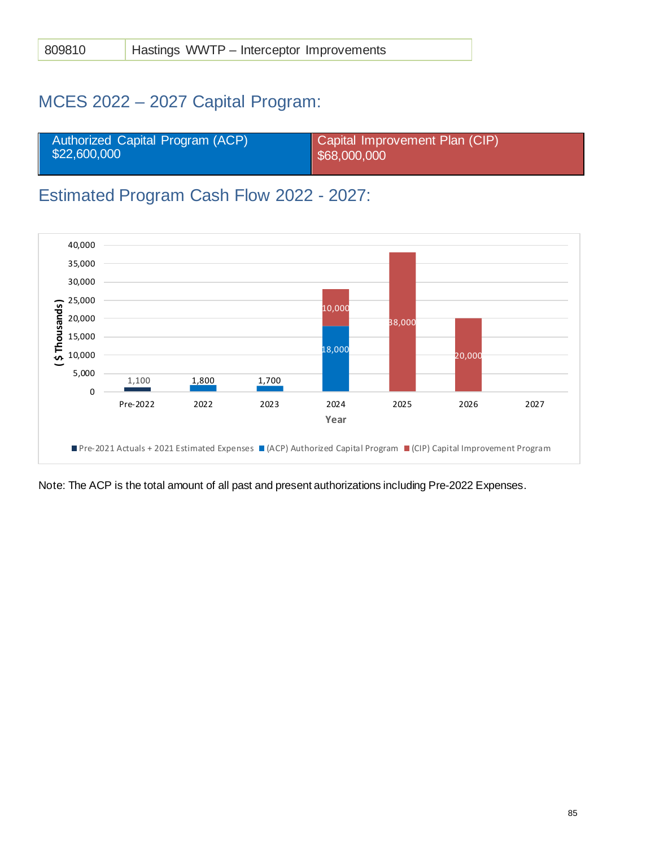## MCES 2022 – 2027 Capital Program:

| Authorized Capital Program (ACP) | Capital Improvement Plan (CIP) |
|----------------------------------|--------------------------------|
| \$22,600,000                     | $\frac{1}{2}$ \$68,000,000     |
|                                  |                                |

## Estimated Program Cash Flow 2022 - 2027:



Note: The ACP is the total amount of all past and present authorizations including Pre-2022 Expenses.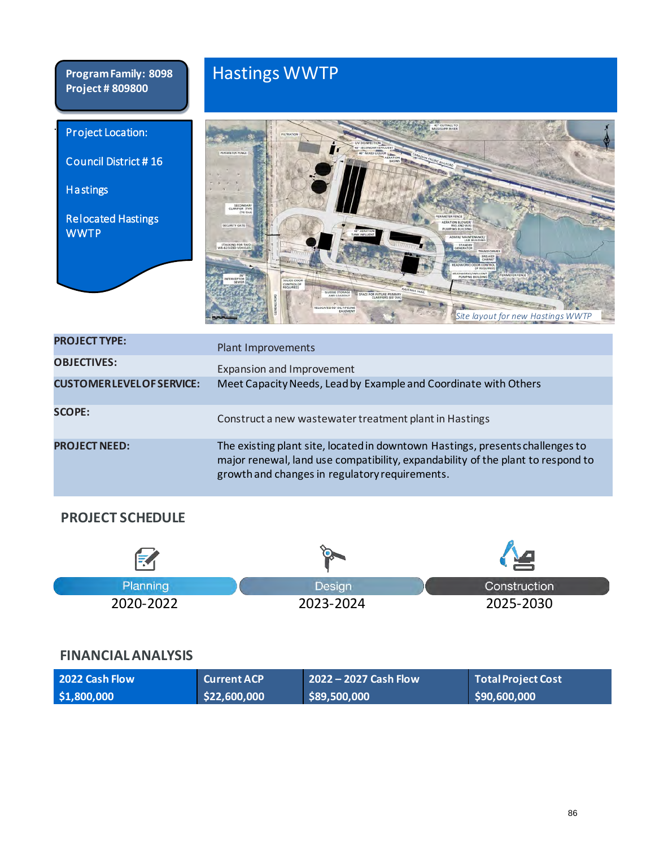**Program Family: 8098 Project # 809800**

# Hastings WWTP





| <b>PROJECT TYPE:</b>           | Plant Improvements                                                                                                                                                                                                 |
|--------------------------------|--------------------------------------------------------------------------------------------------------------------------------------------------------------------------------------------------------------------|
| <b>OBJECTIVES:</b>             | Expansion and Improvement                                                                                                                                                                                          |
| <b>CUSTOMERLEVELOFSERVICE:</b> | Meet Capacity Needs, Lead by Example and Coordinate with Others                                                                                                                                                    |
| <b>SCOPE:</b>                  | Construct a new wastewater treatment plant in Hastings                                                                                                                                                             |
| <b>PROJECT NEED:</b>           | The existing plant site, located in downtown Hastings, presents challenges to<br>major renewal, land use compatibility, expandability of the plant to respond to<br>growth and changes in regulatory requirements. |

#### **PROJECT SCHEDULE**

| Planning  | <b>Design</b> | Construction |
|-----------|---------------|--------------|
| 2020-2022 | 2023-2024     | 2025-2030    |

### **FINANCIAL ANALYSIS**

| 2022 Cash Flow | <b>Current ACP</b> | 2022 – 2027 Cash Flow | Total Project Cost |
|----------------|--------------------|-----------------------|--------------------|
| \$1,800,000    | \$22,600,000       | \$89,500,000          | \$90,600,000       |